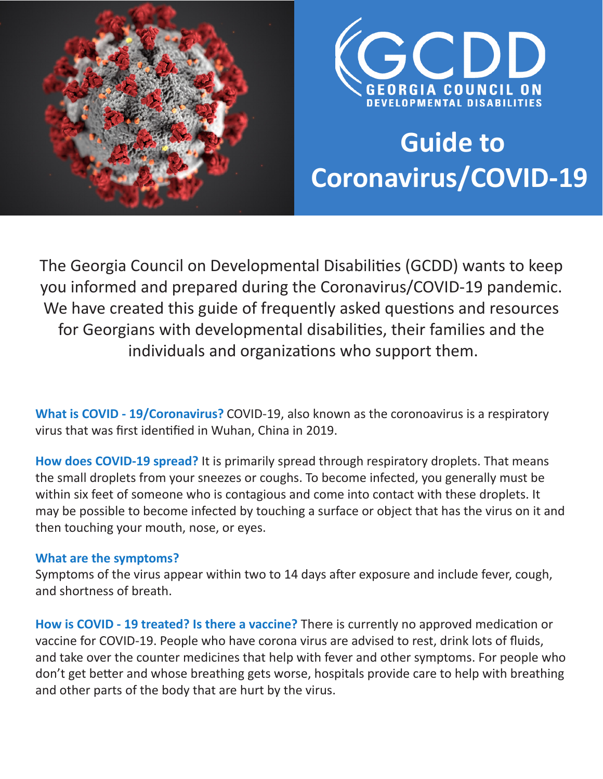



# **Guide to Coronavirus/COVID-19**

The Georgia Council on Developmental Disabilities (GCDD) wants to keep you informed and prepared during the Coronavirus/COVID-19 pandemic. We have created this guide of frequently asked questions and resources for Georgians with developmental disabilities, their families and the individuals and organizations who support them.

**What is COVID - 19/Coronavirus?** COVID-19, also known as the coronoavirus is a respiratory virus that was first identified in Wuhan, China in 2019.

**How does COVID-19 spread?** It is primarily spread through respiratory droplets. That means the small droplets from your sneezes or coughs. To become infected, you generally must be within six feet of someone who is contagious and come into contact with these droplets. It may be possible to become infected by touching a surface or object that has the virus on it and then touching your mouth, nose, or eyes.

#### **What are the symptoms?**

Symptoms of the virus appear within two to 14 days after exposure and include fever, cough, and shortness of breath.

**How is COVID - 19 treated? Is there a vaccine?** There is currently no approved medication or vaccine for COVID-19. People who have corona virus are advised to rest, drink lots of fluids, and take over the counter medicines that help with fever and other symptoms. For people who don't get better and whose breathing gets worse, hospitals provide care to help with breathing and other parts of the body that are hurt by the virus.